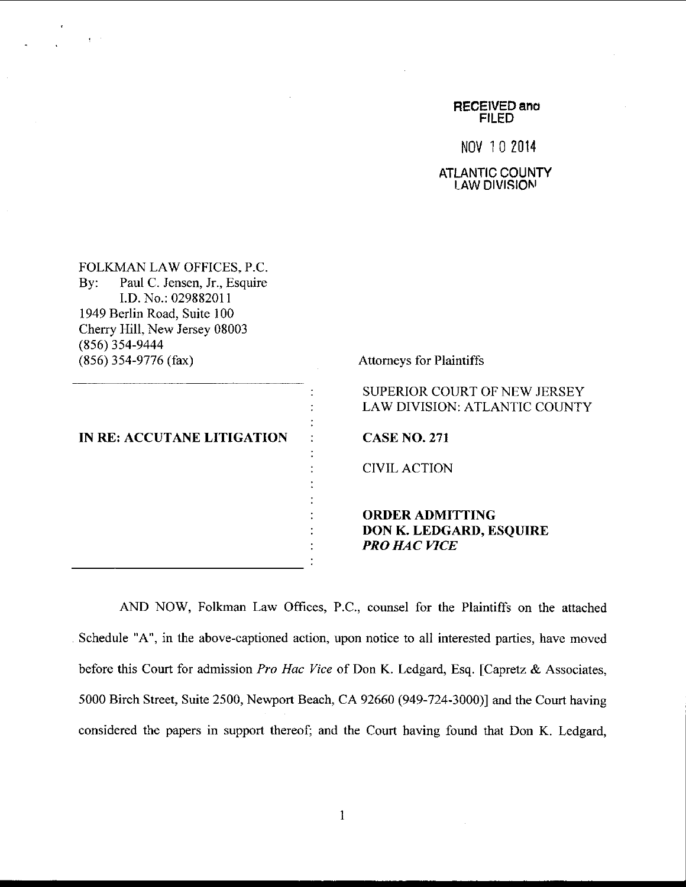RECEIVED ano FILED

No\/ 10 2014

**ATLANTIC COUNTY** LAW DIVISIONI

FOLKMAN LAW OFFICES, P.C. By: Paul C. Jensen. Jr., Esquire I.D. No.: 029882011 1949 Berlin Road, Suite 1 00 Cherry Hill, New Jersey 08003 (8s6) 3s4-9444 (8s6)3s4-9776 (tax) Attomeys for Plaintiffs

 $\sim$  3  $^{-1}$ 

|  |  |  |  | IN RE: ACCUTANE LITIGATION |  |
|--|--|--|--|----------------------------|--|
|--|--|--|--|----------------------------|--|

SUPERIOR COURT OF NEW JERSEY LAW DIVISION: ATLANTIC COUNTY

CASE NO.271

C]VII, ACTION

## ORDERADMITTING DON K. LEDGARD, ESQUIRE PRO HAC WCE

AND NOW, Folkman Law Offices, P.C., counsel for the Plaintiffs on the attached Schedule "A", in the above-captioned action, upon notice to all interested parties, have moved before this Court for admission Pro Hac Vice of Don K. Ledgard, Esq. [Capretz & Associates, 5000 Birch Street, Suite 2500, Newport Beach, CA 92660 (949-724-3000)] and the Court having considered the papers in support thereof; and the Court having found that Don K. Ledgard,

 $\ddot{\cdot}$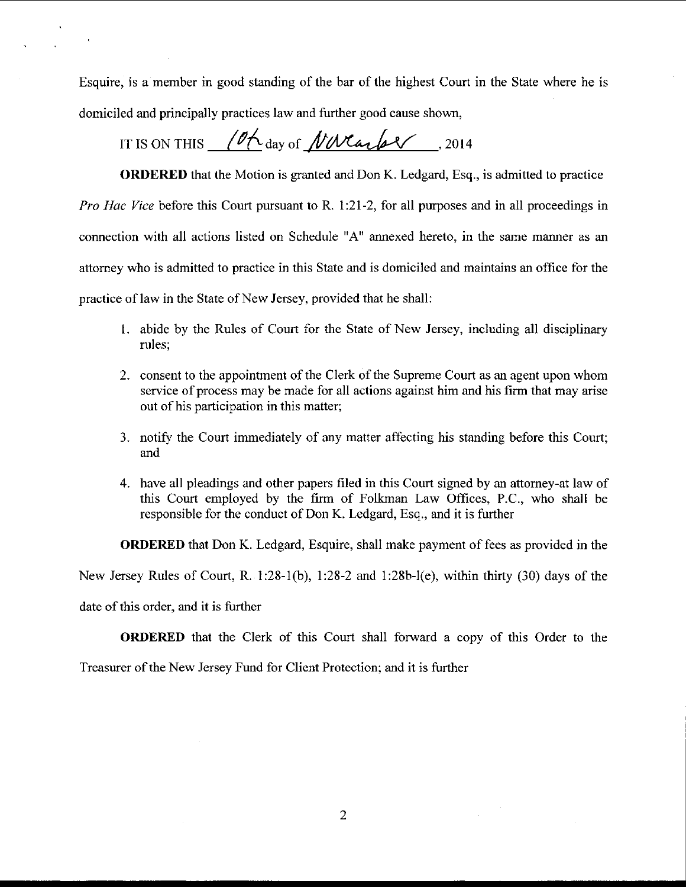Esquire, is a member in good standing of the bar of the highest Court in the State where he is domiciled and principally practices law and further good cause shown,

## IT IS ON THIS (Of  $\Delta_{\text{day of}}$  /  $\mathcal{W}$   $\mathcal{W}$  and  $\mathcal{W}$ , 2014

ORDERED that the Motion is granted and Don K. Ledgard, Esq., is admitted to practice Pro Hac Vice before this Court pursuant to R. 1:21-2, for all purposes and in all proceedings in connection with all actions listed on Schedule "A" annexed hereto. in the same manner as an attomey who is admitted to practice in this State and is domiciled and maintains an office for the practice of law in the State of New Jersey, provided that he shall:

- 1. abide by the Rules of Court for the State of New Jersey, including all disciplinary rules;
- 2. consent to the appointment of the Clerk of the Supreme Court as an agent upon whom service of process may be made for all actions against him and his firm that may arise out of his participation in this matter;
- 3. notify the Court immediately of any matter aifecting his standing before this Court; and
- 4. have all pleadings and other papers filed in this Court signed by an attomey-at law of this Court employed by the frrm of Folkman Law Offices, P.C., who shall be responsible for the conduct of Don K. Ledgard, Esq., and it is further

ORDERED that Don K. Ledgard, Esquire, shall make payment of fees as provided in the

New Jersey Rules of Court, R. 1:28-1(b), 1:28-2 and 1:28b-l(e), within thirty (30) days of the

date of this order, and it is further

**ORDERED** that the Clerk of this Court shall forward a copy of this Order to the

Treasurer of the New Jersey Fund for Client Protection; and it is further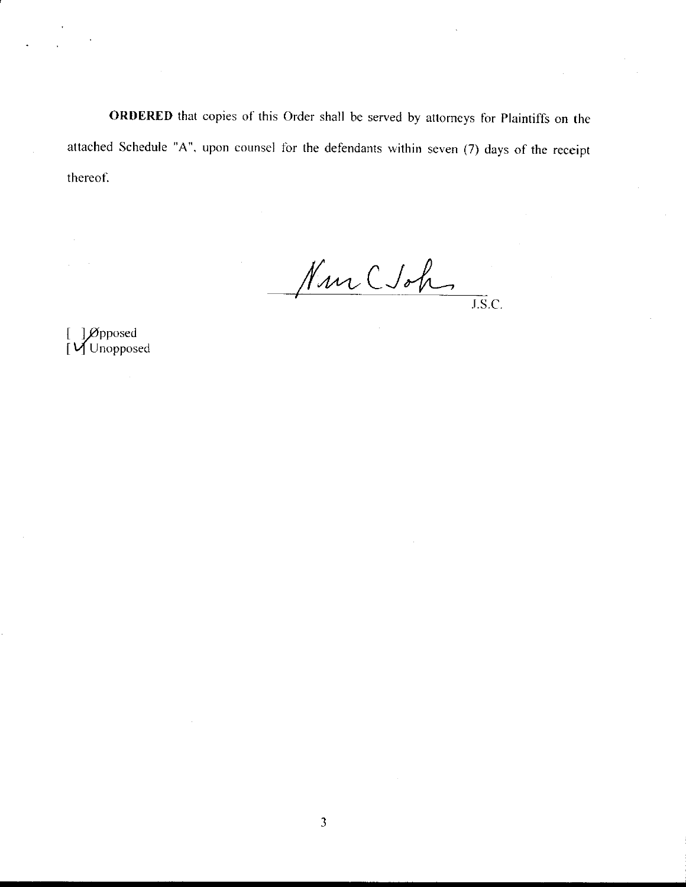ORDERED that copies of this Order shall be served by attorneys for Plaintiffs on the attached Schedule "A", upon counsel for the defendants within seven (7) days of the receipt thereof.

Nur Ctoh

 $\overline{\text{J.S.}}$ C.

[ ] Øpposed<br>[ **V** Unopposed